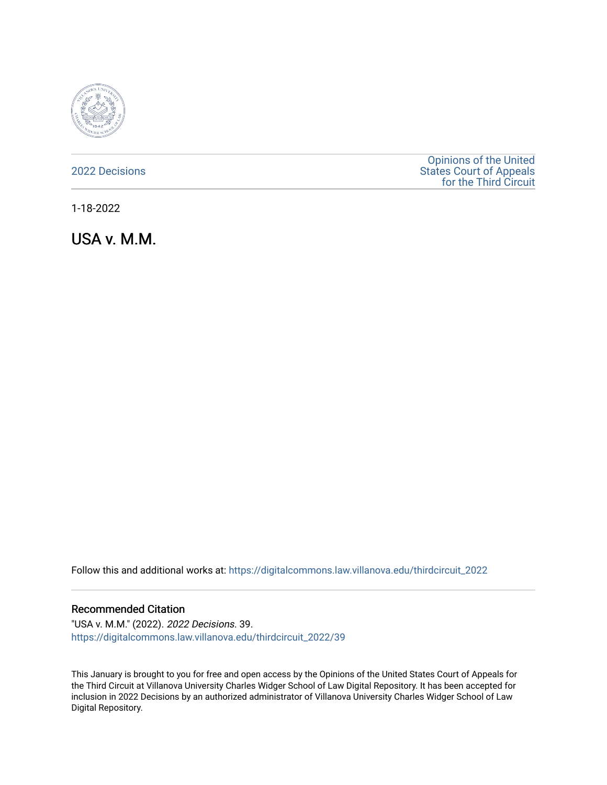

[2022 Decisions](https://digitalcommons.law.villanova.edu/thirdcircuit_2022)

[Opinions of the United](https://digitalcommons.law.villanova.edu/thirdcircuit)  [States Court of Appeals](https://digitalcommons.law.villanova.edu/thirdcircuit)  [for the Third Circuit](https://digitalcommons.law.villanova.edu/thirdcircuit) 

1-18-2022

USA v. M.M.

Follow this and additional works at: [https://digitalcommons.law.villanova.edu/thirdcircuit\\_2022](https://digitalcommons.law.villanova.edu/thirdcircuit_2022?utm_source=digitalcommons.law.villanova.edu%2Fthirdcircuit_2022%2F39&utm_medium=PDF&utm_campaign=PDFCoverPages) 

#### Recommended Citation

"USA v. M.M." (2022). 2022 Decisions. 39. [https://digitalcommons.law.villanova.edu/thirdcircuit\\_2022/39](https://digitalcommons.law.villanova.edu/thirdcircuit_2022/39?utm_source=digitalcommons.law.villanova.edu%2Fthirdcircuit_2022%2F39&utm_medium=PDF&utm_campaign=PDFCoverPages)

This January is brought to you for free and open access by the Opinions of the United States Court of Appeals for the Third Circuit at Villanova University Charles Widger School of Law Digital Repository. It has been accepted for inclusion in 2022 Decisions by an authorized administrator of Villanova University Charles Widger School of Law Digital Repository.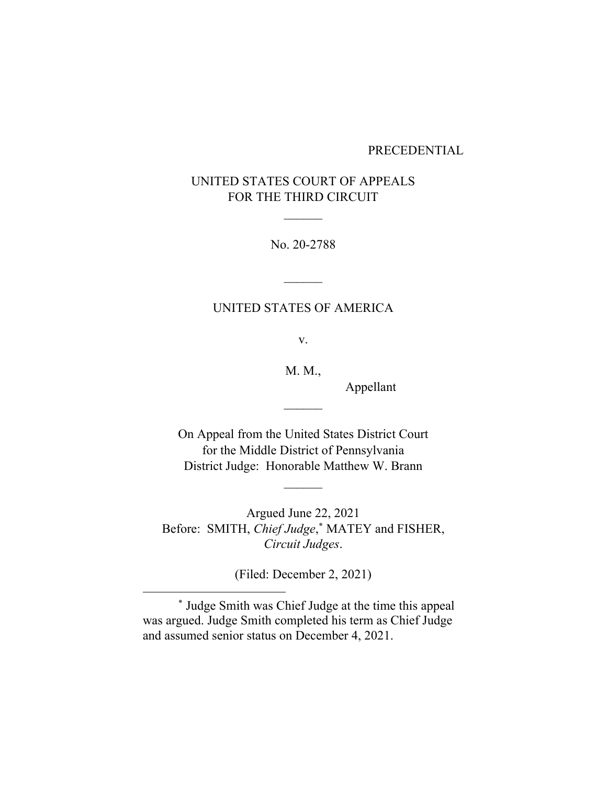#### PRECEDENTIAL

# UNITED STATES COURT OF APPEALS FOR THE THIRD CIRCUIT

No. 20-2788

## UNITED STATES OF AMERICA

 $\frac{1}{2}$ 

v.

M. M.,

 $\mathcal{L}_\text{max}$ 

Appellant

On Appeal from the United States District Court for the Middle District of Pennsylvania District Judge: Honorable Matthew W. Brann

Argued June 22, 2021 Before: SMITH, *Chief Judge*, \* MATEY and FISHER, *Circuit Judges*.

(Filed: December 2, 2021)

<sup>\*</sup> Judge Smith was Chief Judge at the time this appeal was argued. Judge Smith completed his term as Chief Judge and assumed senior status on December 4, 2021.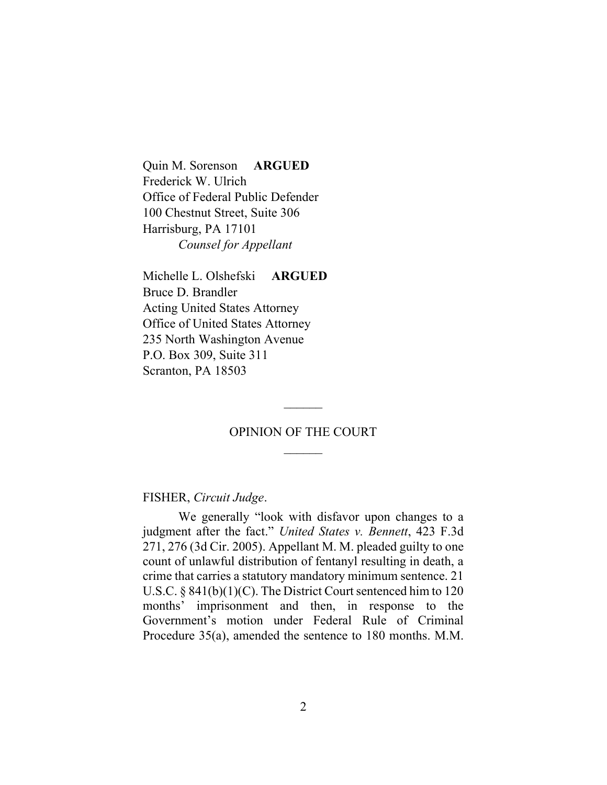Quin M. Sorenson **ARGUED** Frederick W. Ulrich Office of Federal Public Defender 100 Chestnut Street, Suite 306 Harrisburg, PA 17101 *Counsel for Appellant*

Michelle L. Olshefski **ARGUED** Bruce D. Brandler Acting United States Attorney Office of United States Attorney 235 North Washington Avenue P.O. Box 309, Suite 311 Scranton, PA 18503

## OPINION OF THE COURT  $\frac{1}{2}$

FISHER, *Circuit Judge*.

We generally "look with disfavor upon changes to a judgment after the fact." *United States v. Bennett*, 423 F.3d 271, 276 (3d Cir. 2005). Appellant M. M. pleaded guilty to one count of unlawful distribution of fentanyl resulting in death, a crime that carries a statutory mandatory minimum sentence. 21 U.S.C. § 841(b)(1)(C). The District Court sentenced him to 120 months' imprisonment and then, in response to the Government's motion under Federal Rule of Criminal Procedure 35(a), amended the sentence to 180 months. M.M.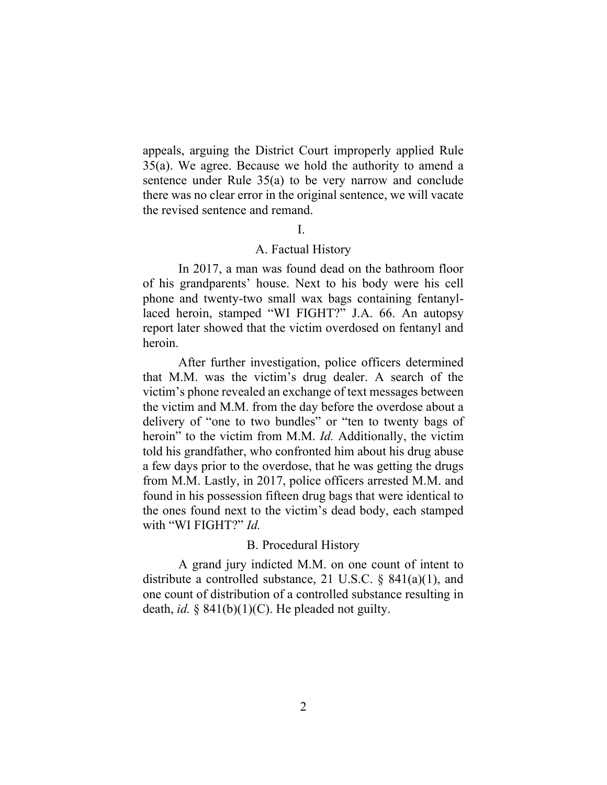appeals, arguing the District Court improperly applied Rule 35(a). We agree. Because we hold the authority to amend a sentence under Rule 35(a) to be very narrow and conclude there was no clear error in the original sentence, we will vacate the revised sentence and remand.

### I.

#### A. Factual History

In 2017, a man was found dead on the bathroom floor of his grandparents' house. Next to his body were his cell phone and twenty-two small wax bags containing fentanyllaced heroin, stamped "WI FIGHT?" J.A. 66. An autopsy report later showed that the victim overdosed on fentanyl and heroin.

After further investigation, police officers determined that M.M. was the victim's drug dealer. A search of the victim's phone revealed an exchange of text messages between the victim and M.M. from the day before the overdose about a delivery of "one to two bundles" or "ten to twenty bags of heroin" to the victim from M.M. *Id.* Additionally, the victim told his grandfather, who confronted him about his drug abuse a few days prior to the overdose, that he was getting the drugs from M.M. Lastly, in 2017, police officers arrested M.M. and found in his possession fifteen drug bags that were identical to the ones found next to the victim's dead body, each stamped with "WI FIGHT?" *Id.*

#### B. Procedural History

A grand jury indicted M.M. on one count of intent to distribute a controlled substance, 21 U.S.C. § 841(a)(1), and one count of distribution of a controlled substance resulting in death, *id.* § 841(b)(1)(C). He pleaded not guilty.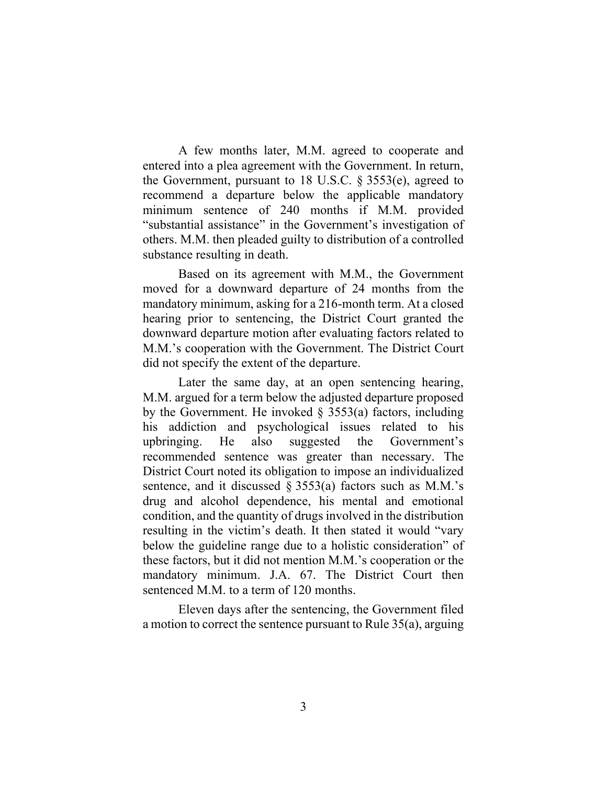A few months later, M.M. agreed to cooperate and entered into a plea agreement with the Government. In return, the Government, pursuant to 18 U.S.C. § 3553(e), agreed to recommend a departure below the applicable mandatory minimum sentence of 240 months if M.M. provided "substantial assistance" in the Government's investigation of others. M.M. then pleaded guilty to distribution of a controlled substance resulting in death.

Based on its agreement with M.M., the Government moved for a downward departure of 24 months from the mandatory minimum, asking for a 216-month term. At a closed hearing prior to sentencing, the District Court granted the downward departure motion after evaluating factors related to M.M.'s cooperation with the Government. The District Court did not specify the extent of the departure.

Later the same day, at an open sentencing hearing, M.M. argued for a term below the adjusted departure proposed by the Government. He invoked  $\S$  3553(a) factors, including his addiction and psychological issues related to his upbringing. He also suggested the Government's recommended sentence was greater than necessary. The District Court noted its obligation to impose an individualized sentence, and it discussed  $\S 3553(a)$  factors such as M.M.'s drug and alcohol dependence, his mental and emotional condition, and the quantity of drugs involved in the distribution resulting in the victim's death. It then stated it would "vary below the guideline range due to a holistic consideration" of these factors, but it did not mention M.M.'s cooperation or the mandatory minimum. J.A. 67. The District Court then sentenced M.M. to a term of 120 months.

Eleven days after the sentencing, the Government filed a motion to correct the sentence pursuant to Rule 35(a), arguing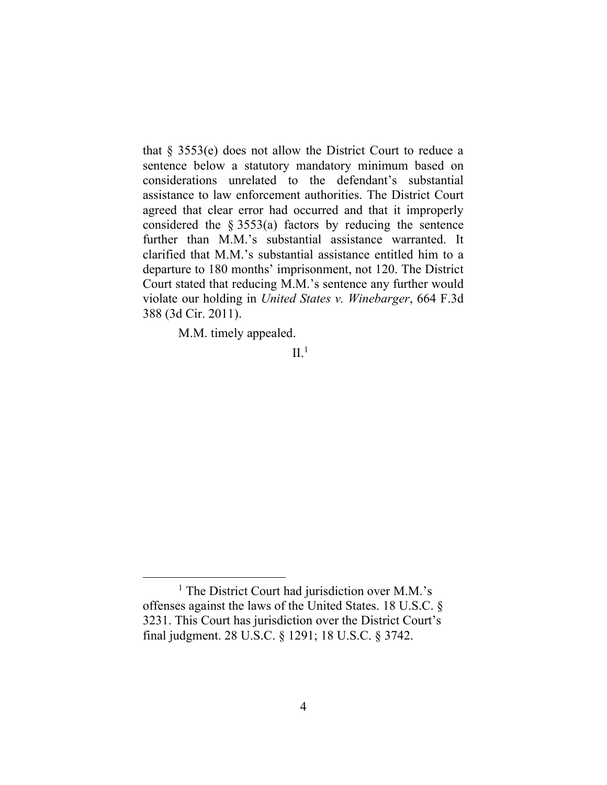that § 3553(e) does not allow the District Court to reduce a sentence below a statutory mandatory minimum based on considerations unrelated to the defendant's substantial assistance to law enforcement authorities. The District Court agreed that clear error had occurred and that it improperly considered the § 3553(a) factors by reducing the sentence further than M.M.'s substantial assistance warranted. It clarified that M.M.'s substantial assistance entitled him to a departure to 180 months' imprisonment, not 120. The District Court stated that reducing M.M.'s sentence any further would violate our holding in *United States v. Winebarger*, 664 F.3d 388 (3d Cir. 2011).

M.M. timely appealed.

 $\mathrm{II}.^1$ 

<sup>&</sup>lt;sup>1</sup> The District Court had jurisdiction over M.M.'s offenses against the laws of the United States. 18 U.S.C. § 3231. This Court has jurisdiction over the District Court's final judgment. 28 U.S.C. § 1291; 18 U.S.C. § 3742.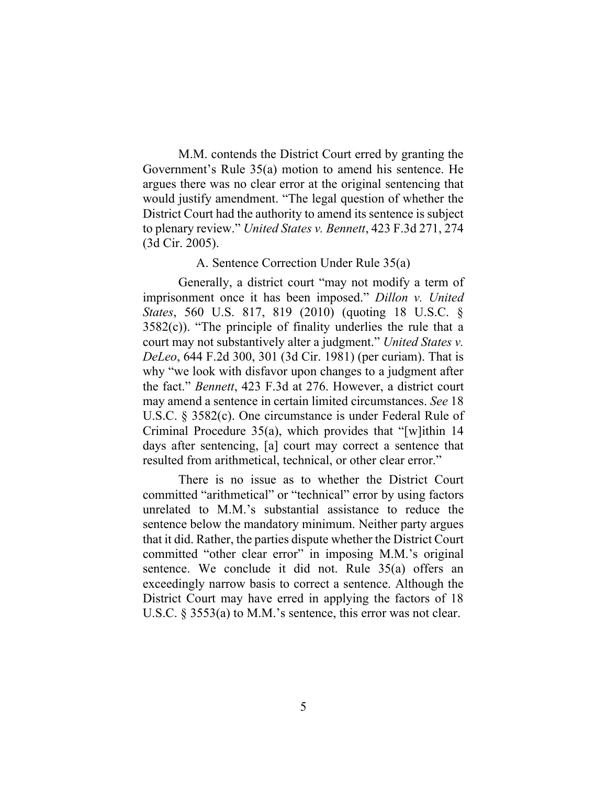M.M. contends the District Court erred by granting the Government's Rule 35(a) motion to amend his sentence. He argues there was no clear error at the original sentencing that would justify amendment. "The legal question of whether the District Court had the authority to amend its sentence is subject to plenary review." *United States v. Bennett*, 423 F.3d 271, 274 (3d Cir. 2005).

### A. Sentence Correction Under Rule 35(a)

Generally, a district court "may not modify a term of imprisonment once it has been imposed." *Dillon v. United States*, 560 U.S. 817, 819 (2010) (quoting 18 U.S.C. §  $3582(c)$ ). "The principle of finality underlies the rule that a court may not substantively alter a judgment." *United States v. DeLeo*, 644 F.2d 300, 301 (3d Cir. 1981) (per curiam). That is why "we look with disfavor upon changes to a judgment after the fact." *Bennett*, 423 F.3d at 276. However, a district court may amend a sentence in certain limited circumstances. *See* 18 U.S.C. § 3582(c). One circumstance is under Federal Rule of Criminal Procedure 35(a), which provides that "[w]ithin 14 days after sentencing, [a] court may correct a sentence that resulted from arithmetical, technical, or other clear error."

There is no issue as to whether the District Court committed "arithmetical" or "technical" error by using factors unrelated to M.M.'s substantial assistance to reduce the sentence below the mandatory minimum. Neither party argues that it did. Rather, the parties dispute whether the District Court committed "other clear error" in imposing M.M.'s original sentence. We conclude it did not. Rule 35(a) offers an exceedingly narrow basis to correct a sentence. Although the District Court may have erred in applying the factors of 18 U.S.C. § 3553(a) to M.M.'s sentence, this error was not clear.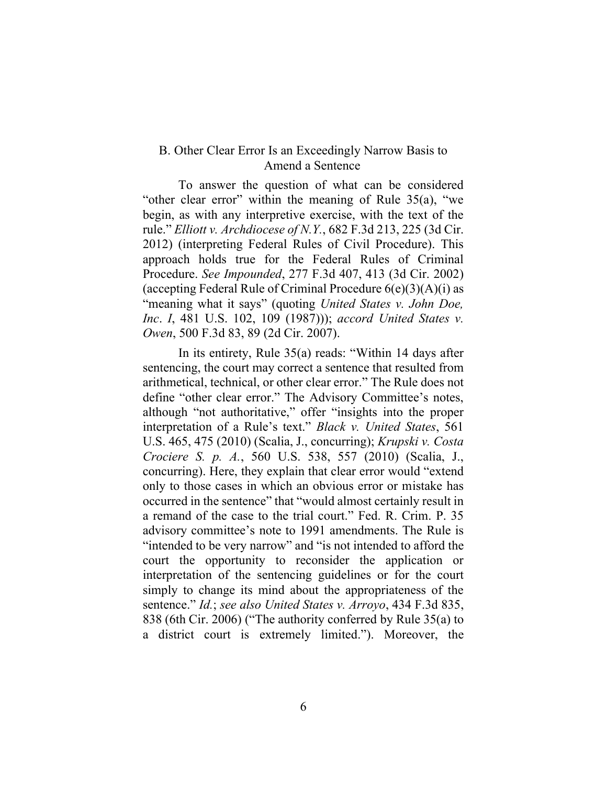### B. Other Clear Error Is an Exceedingly Narrow Basis to Amend a Sentence

To answer the question of what can be considered "other clear error" within the meaning of Rule 35(a), "we begin, as with any interpretive exercise, with the text of the rule." *Elliott v. Archdiocese of N.Y.*, 682 F.3d 213, 225 (3d Cir. 2012) (interpreting Federal Rules of Civil Procedure). This approach holds true for the Federal Rules of Criminal Procedure. *See Impounded*, 277 F.3d 407, 413 (3d Cir. 2002) (accepting Federal Rule of Criminal Procedure  $6(e)(3)(A)(i)$  as "meaning what it says" (quoting *United States v. John Doe, Inc*. *I*, 481 U.S. 102, 109 (1987))); *accord United States v. Owen*, 500 F.3d 83, 89 (2d Cir. 2007).

In its entirety, Rule 35(a) reads: "Within 14 days after sentencing, the court may correct a sentence that resulted from arithmetical, technical, or other clear error." The Rule does not define "other clear error." The Advisory Committee's notes, although "not authoritative," offer "insights into the proper interpretation of a Rule's text." *Black v. United States*, 561 U.S. 465, 475 (2010) (Scalia, J., concurring); *Krupski v. Costa Crociere S. p. A.*, 560 U.S. 538, 557 (2010) (Scalia, J., concurring). Here, they explain that clear error would "extend only to those cases in which an obvious error or mistake has occurred in the sentence" that "would almost certainly result in a remand of the case to the trial court." Fed. R. Crim. P. 35 advisory committee's note to 1991 amendments. The Rule is "intended to be very narrow" and "is not intended to afford the court the opportunity to reconsider the application or interpretation of the sentencing guidelines or for the court simply to change its mind about the appropriateness of the sentence." *Id.*; *see also United States v. Arroyo*, 434 F.3d 835, 838 (6th Cir. 2006) ("The authority conferred by Rule 35(a) to a district court is extremely limited."). Moreover, the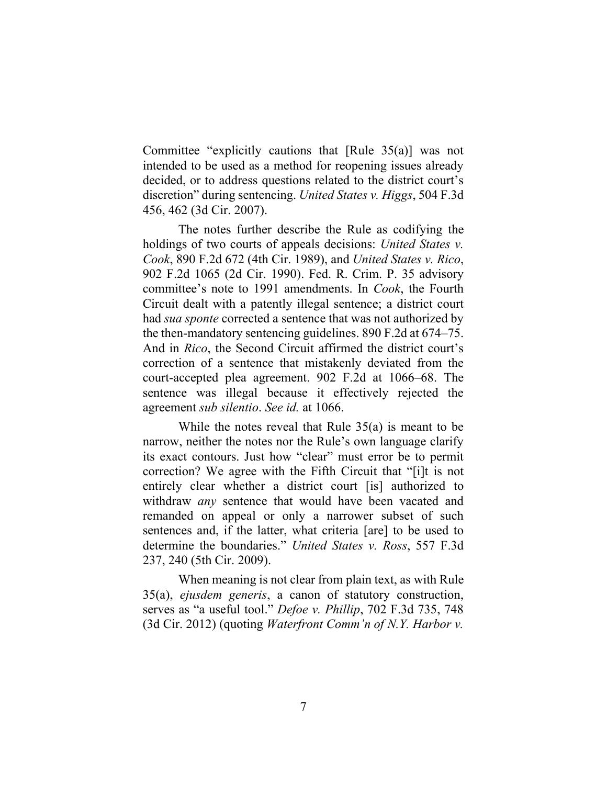Committee "explicitly cautions that [Rule 35(a)] was not intended to be used as a method for reopening issues already decided, or to address questions related to the district court's discretion" during sentencing. *United States v. Higgs*, 504 F.3d 456, 462 (3d Cir. 2007).

The notes further describe the Rule as codifying the holdings of two courts of appeals decisions: *United States v. Cook*, 890 F.2d 672 (4th Cir. 1989), and *United States v. Rico*, 902 F.2d 1065 (2d Cir. 1990). Fed. R. Crim. P. 35 advisory committee's note to 1991 amendments. In *Cook*, the Fourth Circuit dealt with a patently illegal sentence; a district court had *sua sponte* corrected a sentence that was not authorized by the then-mandatory sentencing guidelines. 890 F.2d at 674–75. And in *Rico*, the Second Circuit affirmed the district court's correction of a sentence that mistakenly deviated from the court-accepted plea agreement. 902 F.2d at 1066–68. The sentence was illegal because it effectively rejected the agreement *sub silentio*. *See id.* at 1066.

While the notes reveal that Rule 35(a) is meant to be narrow, neither the notes nor the Rule's own language clarify its exact contours. Just how "clear" must error be to permit correction? We agree with the Fifth Circuit that "[i]t is not entirely clear whether a district court [is] authorized to withdraw *any* sentence that would have been vacated and remanded on appeal or only a narrower subset of such sentences and, if the latter, what criteria [are] to be used to determine the boundaries." *United States v. Ross*, 557 F.3d 237, 240 (5th Cir. 2009).

When meaning is not clear from plain text, as with Rule 35(a), *ejusdem generis*, a canon of statutory construction, serves as "a useful tool." *Defoe v. Phillip*, 702 F.3d 735, 748 (3d Cir. 2012) (quoting *Waterfront Comm'n of N.Y. Harbor v.*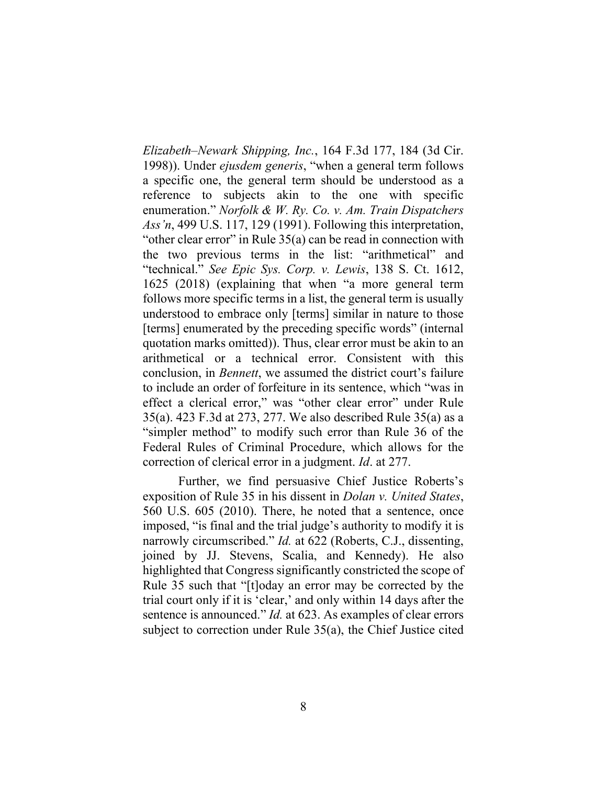*Elizabeth–Newark Shipping, Inc.*, 164 F.3d 177, 184 (3d Cir. 1998)). Under *ejusdem generis*, "when a general term follows a specific one, the general term should be understood as a reference to subjects akin to the one with specific enumeration." *Norfolk & W. Ry. Co. v. Am. Train Dispatchers Ass'n*, 499 U.S. 117, 129 (1991). Following this interpretation, "other clear error" in Rule 35(a) can be read in connection with the two previous terms in the list: "arithmetical" and "technical." *See Epic Sys. Corp. v. Lewis*, 138 S. Ct. 1612, 1625 (2018) (explaining that when "a more general term follows more specific terms in a list, the general term is usually understood to embrace only [terms] similar in nature to those [terms] enumerated by the preceding specific words" (internal quotation marks omitted)). Thus, clear error must be akin to an arithmetical or a technical error. Consistent with this conclusion, in *Bennett*, we assumed the district court's failure to include an order of forfeiture in its sentence, which "was in effect a clerical error," was "other clear error" under Rule 35(a). 423 F.3d at 273, 277. We also described Rule 35(a) as a "simpler method" to modify such error than Rule 36 of the Federal Rules of Criminal Procedure, which allows for the correction of clerical error in a judgment. *Id*. at 277.

Further, we find persuasive Chief Justice Roberts's exposition of Rule 35 in his dissent in *Dolan v. United States*, 560 U.S. 605 (2010). There, he noted that a sentence, once imposed, "is final and the trial judge's authority to modify it is narrowly circumscribed." *Id.* at 622 (Roberts, C.J., dissenting, joined by JJ. Stevens, Scalia, and Kennedy). He also highlighted that Congress significantly constricted the scope of Rule 35 such that "[t]oday an error may be corrected by the trial court only if it is 'clear,' and only within 14 days after the sentence is announced." *Id.* at 623. As examples of clear errors subject to correction under Rule 35(a), the Chief Justice cited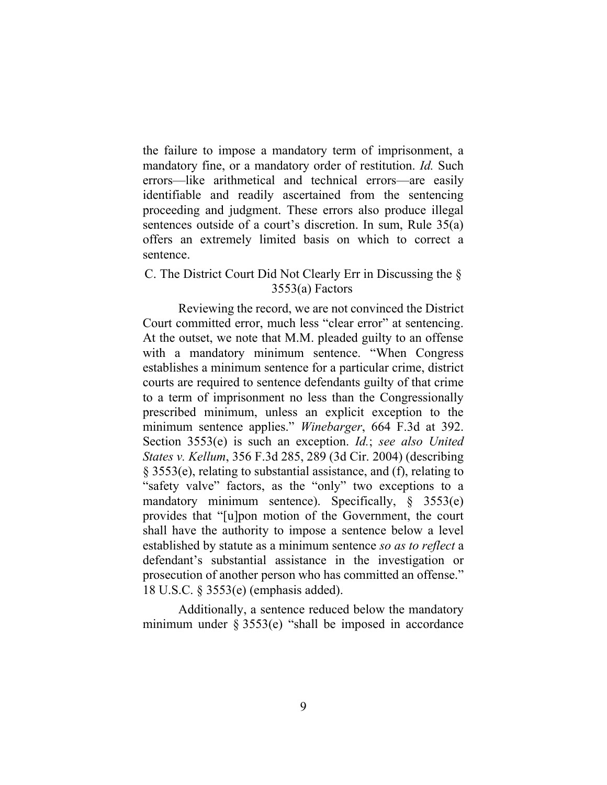the failure to impose a mandatory term of imprisonment, a mandatory fine, or a mandatory order of restitution. *Id.* Such errors—like arithmetical and technical errors—are easily identifiable and readily ascertained from the sentencing proceeding and judgment. These errors also produce illegal sentences outside of a court's discretion. In sum, Rule 35(a) offers an extremely limited basis on which to correct a sentence.

## C. The District Court Did Not Clearly Err in Discussing the § 3553(a) Factors

Reviewing the record, we are not convinced the District Court committed error, much less "clear error" at sentencing. At the outset, we note that M.M. pleaded guilty to an offense with a mandatory minimum sentence. "When Congress establishes a minimum sentence for a particular crime, district courts are required to sentence defendants guilty of that crime to a term of imprisonment no less than the Congressionally prescribed minimum, unless an explicit exception to the minimum sentence applies." *Winebarger*, 664 F.3d at 392. Section 3553(e) is such an exception. *Id.*; *see also United States v. Kellum*, 356 F.3d 285, 289 (3d Cir. 2004) (describing § 3553(e), relating to substantial assistance, and (f), relating to "safety valve" factors, as the "only" two exceptions to a mandatory minimum sentence). Specifically,  $\S$  3553(e) provides that "[u]pon motion of the Government, the court shall have the authority to impose a sentence below a level established by statute as a minimum sentence *so as to reflect* a defendant's substantial assistance in the investigation or prosecution of another person who has committed an offense." 18 U.S.C. § 3553(e) (emphasis added).

Additionally, a sentence reduced below the mandatory minimum under  $\S 3553(e)$  "shall be imposed in accordance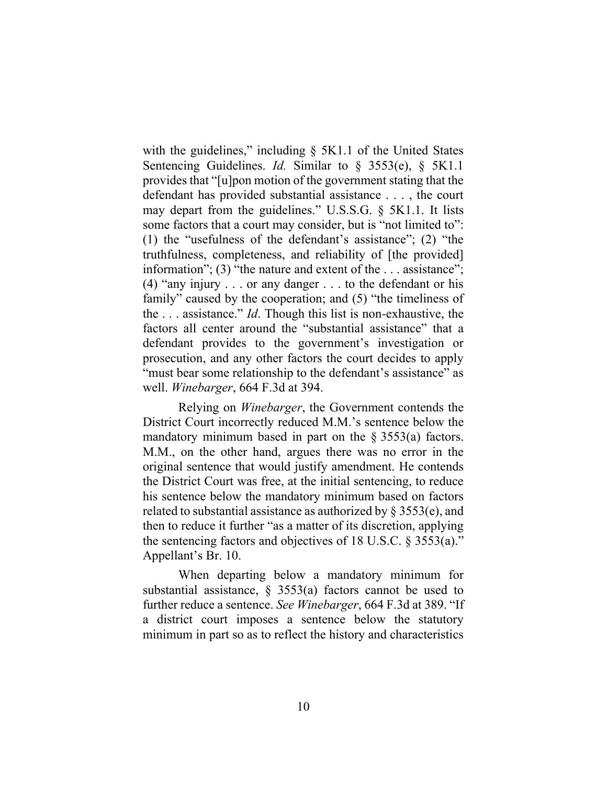with the guidelines," including  $\S$  5K1.1 of the United States Sentencing Guidelines. *Id.* Similar to § 3553(e), § 5K1.1 provides that "[u]pon motion of the government stating that the defendant has provided substantial assistance . . . , the court may depart from the guidelines." U.S.S.G. § 5K1.1. It lists some factors that a court may consider, but is "not limited to": (1) the "usefulness of the defendant's assistance"; (2) "the truthfulness, completeness, and reliability of [the provided] information"; (3) "the nature and extent of the . . . assistance"; (4) "any injury . . . or any danger . . . to the defendant or his family" caused by the cooperation; and (5) "the timeliness of the . . . assistance." *Id*. Though this list is non-exhaustive, the factors all center around the "substantial assistance" that a defendant provides to the government's investigation or prosecution, and any other factors the court decides to apply "must bear some relationship to the defendant's assistance" as well. *Winebarger*, 664 F.3d at 394.

Relying on *Winebarger*, the Government contends the District Court incorrectly reduced M.M.'s sentence below the mandatory minimum based in part on the  $\S 3553(a)$  factors. M.M., on the other hand, argues there was no error in the original sentence that would justify amendment. He contends the District Court was free, at the initial sentencing, to reduce his sentence below the mandatory minimum based on factors related to substantial assistance as authorized by  $\S 3553(e)$ , and then to reduce it further "as a matter of its discretion, applying the sentencing factors and objectives of 18 U.S.C.  $\S$  3553(a)." Appellant's Br. 10.

When departing below a mandatory minimum for substantial assistance,  $\S$  3553(a) factors cannot be used to further reduce a sentence. *See Winebarger*, 664 F.3d at 389. "If a district court imposes a sentence below the statutory minimum in part so as to reflect the history and characteristics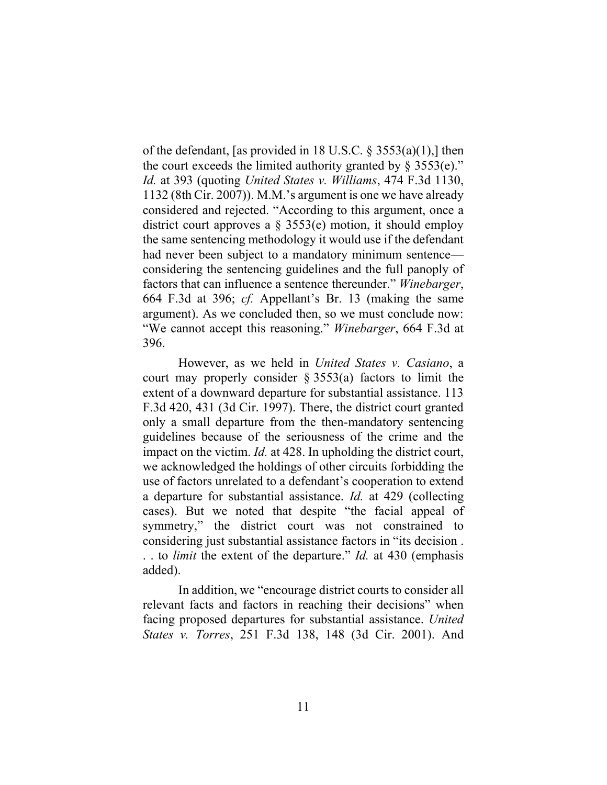of the defendant, [as provided in 18 U.S.C. § 3553(a)(1),] then the court exceeds the limited authority granted by  $\S$  3553(e)." *Id.* at 393 (quoting *United States v. Williams*, 474 F.3d 1130, 1132 (8th Cir. 2007)). M.M.'s argument is one we have already considered and rejected. "According to this argument, once a district court approves a § 3553(e) motion, it should employ the same sentencing methodology it would use if the defendant had never been subject to a mandatory minimum sentence considering the sentencing guidelines and the full panoply of factors that can influence a sentence thereunder." *Winebarger*, 664 F.3d at 396; *cf.* Appellant's Br. 13 (making the same argument). As we concluded then, so we must conclude now: "We cannot accept this reasoning." *Winebarger*, 664 F.3d at 396.

However, as we held in *United States v. Casiano*, a court may properly consider  $\S 3553(a)$  factors to limit the extent of a downward departure for substantial assistance. 113 F.3d 420, 431 (3d Cir. 1997). There, the district court granted only a small departure from the then-mandatory sentencing guidelines because of the seriousness of the crime and the impact on the victim. *Id.* at 428. In upholding the district court, we acknowledged the holdings of other circuits forbidding the use of factors unrelated to a defendant's cooperation to extend a departure for substantial assistance. *Id.* at 429 (collecting cases). But we noted that despite "the facial appeal of symmetry," the district court was not constrained to considering just substantial assistance factors in "its decision . . . to *limit* the extent of the departure." *Id.* at 430 (emphasis added).

In addition, we "encourage district courts to consider all relevant facts and factors in reaching their decisions" when facing proposed departures for substantial assistance. *United States v. Torres*, 251 F.3d 138, 148 (3d Cir. 2001). And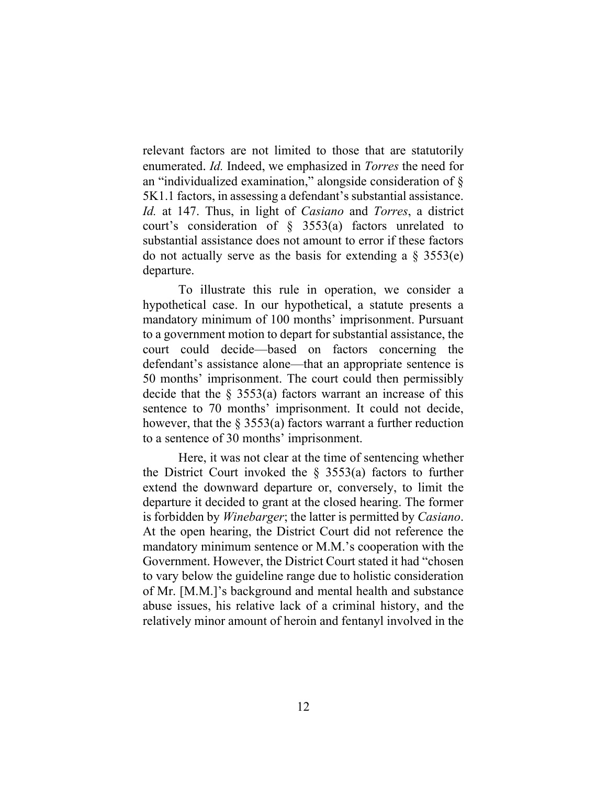relevant factors are not limited to those that are statutorily enumerated. *Id.* Indeed, we emphasized in *Torres* the need for an "individualized examination," alongside consideration of § 5K1.1 factors, in assessing a defendant's substantial assistance. *Id.* at 147. Thus, in light of *Casiano* and *Torres*, a district court's consideration of § 3553(a) factors unrelated to substantial assistance does not amount to error if these factors do not actually serve as the basis for extending a  $\S$  3553(e) departure.

To illustrate this rule in operation, we consider a hypothetical case. In our hypothetical, a statute presents a mandatory minimum of 100 months' imprisonment. Pursuant to a government motion to depart for substantial assistance, the court could decide—based on factors concerning the defendant's assistance alone—that an appropriate sentence is 50 months' imprisonment. The court could then permissibly decide that the  $\S$  3553(a) factors warrant an increase of this sentence to 70 months' imprisonment. It could not decide, however, that the  $\S 3553(a)$  factors warrant a further reduction to a sentence of 30 months' imprisonment.

Here, it was not clear at the time of sentencing whether the District Court invoked the  $\S$  3553(a) factors to further extend the downward departure or, conversely, to limit the departure it decided to grant at the closed hearing. The former is forbidden by *Winebarger*; the latter is permitted by *Casiano*. At the open hearing, the District Court did not reference the mandatory minimum sentence or M.M.'s cooperation with the Government. However, the District Court stated it had "chosen to vary below the guideline range due to holistic consideration of Mr. [M.M.]'s background and mental health and substance abuse issues, his relative lack of a criminal history, and the relatively minor amount of heroin and fentanyl involved in the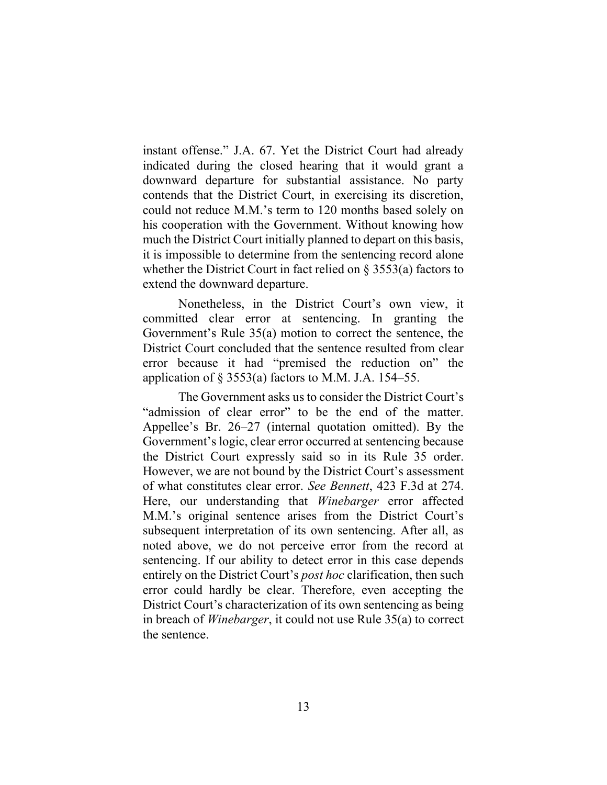instant offense." J.A. 67. Yet the District Court had already indicated during the closed hearing that it would grant a downward departure for substantial assistance. No party contends that the District Court, in exercising its discretion, could not reduce M.M.'s term to 120 months based solely on his cooperation with the Government. Without knowing how much the District Court initially planned to depart on this basis, it is impossible to determine from the sentencing record alone whether the District Court in fact relied on § 3553(a) factors to extend the downward departure.

Nonetheless, in the District Court's own view, it committed clear error at sentencing. In granting the Government's Rule 35(a) motion to correct the sentence, the District Court concluded that the sentence resulted from clear error because it had "premised the reduction on" the application of  $\S$  3553(a) factors to M.M. J.A. 154–55.

The Government asks us to consider the District Court's "admission of clear error" to be the end of the matter. Appellee's Br. 26–27 (internal quotation omitted). By the Government's logic, clear error occurred at sentencing because the District Court expressly said so in its Rule 35 order. However, we are not bound by the District Court's assessment of what constitutes clear error. *See Bennett*, 423 F.3d at 274. Here, our understanding that *Winebarger* error affected M.M.'s original sentence arises from the District Court's subsequent interpretation of its own sentencing. After all, as noted above, we do not perceive error from the record at sentencing. If our ability to detect error in this case depends entirely on the District Court's *post hoc* clarification, then such error could hardly be clear. Therefore, even accepting the District Court's characterization of its own sentencing as being in breach of *Winebarger*, it could not use Rule 35(a) to correct the sentence.